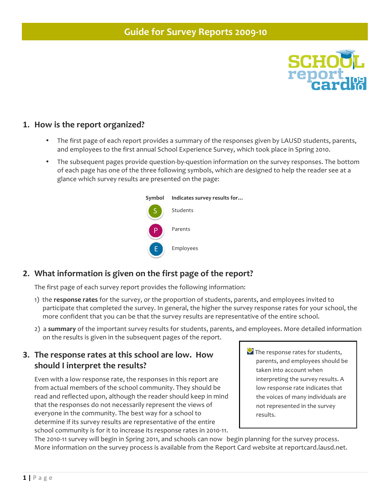

#### **1. How is the report organized?**

- The first page of each report provides a summary of the responses given by LAUSD students, parents, and employees to the first annual School Experience Survey, which took place in Spring 2010.
- The subsequent pages provide question-by-question information on the survey responses. The bottom of each page has one of the three following symbols, which are designed to help the reader see at a glance which survey results are presented on the page:



## **2. What information is given on the first page of the report?**

The first page of each survey report provides the following information:

- 1) the **response rates** for the survey, or the proportion of students, parents, and employees invited to participate that completed the survey. In general, the higher the survey response rates for your school, the more confident that you can be that the survey results are representative of the entire school.
- 2) a **summary** of the important survey results for students, parents, and employees. More detailed information on the results is given in the subsequent pages of the report.

#### **3. The response rates at this school are low. How** should I interpret the results?

Even with a low response rate, the responses in this report are from actual members of the school community. They should be read and reflected upon, although the reader should keep in mind that the responses do not necessarily represent the views of everyone in the community. The best way for a school to determine if its survey results are representative of the entire school community is for it to increase its response rates in 2010-11.  $\triangleright$  The response rates for students, parents, and employees should be taken into account when interpreting the survey results. A low response rate indicates that the voices of many individuals are not represented in the survey results.

The 2010-11 survey will begin in Spring 2011, and schools can now begin planning for the survey process. More information on the survey process is available from the Report Card website at reportcard.lausd.net.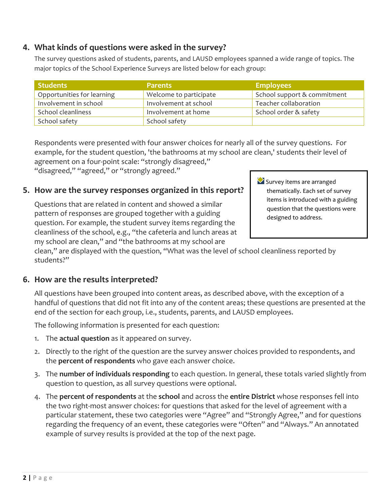# **4.** What kinds of questions were asked in the survey?

The survey questions asked of students, parents, and LAUSD employees spanned a wide range of topics. The major topics of the School Experience Surveys are listed below for each group:

Opportunities for learning Velcome to participate School support & commitment

Involvement in school Involvement at school Teacher collaboration School cleanliness Involvement at home School order & safety

**Students Parents Employees**

| Respondents were presented with four answer choices for nearly all of the survey questions. For    |
|----------------------------------------------------------------------------------------------------|
| example, for the student question, 'the bathrooms at my school are clean,' students their level of |
| agreement on a four-point scale: "strongly disagreed,"                                             |

"disagreed," "agreed," or "strongly agreed."

School safety School safety

## **5. How are the survey responses organized in this report?**

Questions that are related in content and showed a similar pattern of responses are grouped together with a guiding question. For example, the student survey items regarding the cleanliness of the school, e.g., "the cafeteria and lunch areas at my school are clean," and "the bathrooms at my school are

clean," are displayed with the question, "What was the level of school cleanliness reported by students?"

## **6.** How are the results interpreted?

All questions have been grouped into content areas, as described above, with the exception of a handful of questions that did not fit into any of the content areas; these questions are presented at the end of the section for each group, i.e., students, parents, and LAUSD employees.

The following information is presented for each question:

- 1. The **actual question** as it appeared on survey.
- 2. Directly to the right of the question are the survey answer choices provided to respondents, and the **percent of respondents** who gave each answer choice.
- 3. The number of individuals responding to each question. In general, these totals varied slightly from question to question, as all survey questions were optional.
- 4. The **percent of respondents** at the **school** and across the **entire District** whose responses fell into the two right-most answer choices: for questions that asked for the level of agreement with a particular statement, these two categories were "Agree" and "Strongly Agree," and for questions regarding the frequency of an event, these categories were "Often" and "Always." An annotated example of survey results is provided at the top of the next page.

 $\mathbf{\Omega}$  Survey items are arranged thematically. Each set of survey items is introduced with a guiding question that the questions were designed to address.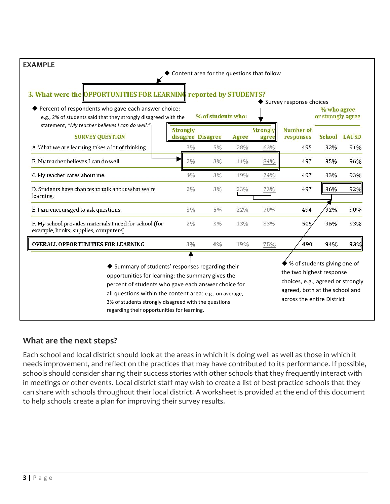| <b>EXAMPLE</b>                                                                                                                                                                                                                                                                                                                                |                                      |    |    |                    | Content area for the questions that follow |                                                                                                                                                                              |                                  |              |
|-----------------------------------------------------------------------------------------------------------------------------------------------------------------------------------------------------------------------------------------------------------------------------------------------------------------------------------------------|--------------------------------------|----|----|--------------------|--------------------------------------------|------------------------------------------------------------------------------------------------------------------------------------------------------------------------------|----------------------------------|--------------|
| 3. What were the OPPORTUNITIES FOR LEARNING reported by STUDENTS?<br>Percent of respondents who gave each answer choice:<br>e.g., 2% of students said that they strongly disagreed with the                                                                                                                                                   |                                      |    |    | % of students who: |                                            | Survey response choices                                                                                                                                                      | % who agree<br>or strongly agree |              |
| statement, "My teacher believes I can do well."<br><b>SURVEY QUESTION</b>                                                                                                                                                                                                                                                                     | <b>Strongly</b><br>disagree Disagree |    |    | <b>Agree</b>       | <b>Strongly</b><br>agree                   | Number of<br>responses                                                                                                                                                       | <b>School</b>                    | <b>LAUSD</b> |
| A. What we are learning takes a lot of thinking.                                                                                                                                                                                                                                                                                              |                                      | 3% | 5% | 28%                | 63%                                        | 495                                                                                                                                                                          | 92%                              | 91%          |
| B. My teacher believes I can do well.                                                                                                                                                                                                                                                                                                         | 2%                                   |    | 3% | 11%                | 84%                                        | 497                                                                                                                                                                          | 95%                              | 96%          |
| C. My teacher cares about me.                                                                                                                                                                                                                                                                                                                 | 4%                                   |    | 3% | 19%                | 74%                                        | 497                                                                                                                                                                          | 93%                              | 93%          |
| D. Students have chances to talk about what we're<br>learning.                                                                                                                                                                                                                                                                                | 2%                                   |    | 3% | 23%                | 73%                                        | 497                                                                                                                                                                          | 96%                              | 92%          |
| E. I am encouraged to ask questions.                                                                                                                                                                                                                                                                                                          | 3%                                   |    | 5% | 22%                | 70%                                        | 494                                                                                                                                                                          | 92%                              | 90%          |
| F. My school provides materials I need for school (for<br>example, books, supplies, computers).                                                                                                                                                                                                                                               | 2%                                   |    | 3% | 13%                | 83%                                        | 505                                                                                                                                                                          | 96%                              | 93%          |
| <b>OVERALL OPPORTUNITIES FOR LEARNING</b>                                                                                                                                                                                                                                                                                                     | 3%                                   |    | 4% | 19%                | 75%                                        | 490                                                                                                                                                                          | 94%                              | 93%          |
| $\blacklozenge$ Summary of students' responses regarding their<br>opportunities for learning: the summary gives the<br>percent of students who gave each answer choice for<br>all questions within the content area: e.g., on average,<br>3% of students strongly disagreed with the questions<br>regarding their opportunities for learning. |                                      |    |    |                    |                                            | $\blacklozenge$ % of students giving one of<br>the two highest response<br>choices, e.g., agreed or strongly<br>agreed, both at the school and<br>across the entire District |                                  |              |

## **What are the next steps?**

Each school and local district should look at the areas in which it is doing well as well as those in which it needs improvement, and reflect on the practices that may have contributed to its performance. If possible, schools should consider sharing their success stories with other schools that they frequently interact with in meetings or other events. Local district staff may wish to create a list of best practice schools that they can share with schools throughout their local district. A worksheet is provided at the end of this document to help schools create a plan for improving their survey results.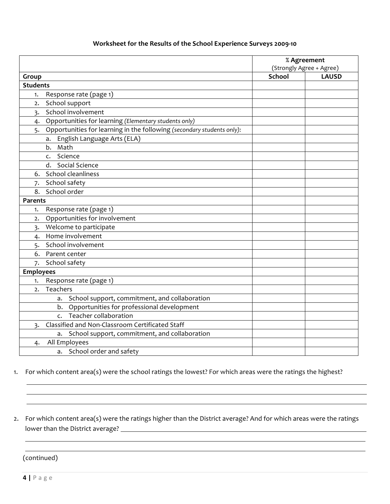#### **Worksheet for the Results of the School Experience Surveys 2009-10**

|                  |                                                                        | % Agreement<br>(Strongly Agree + Agree) |              |  |
|------------------|------------------------------------------------------------------------|-----------------------------------------|--------------|--|
| Group            |                                                                        | <b>School</b>                           | <b>LAUSD</b> |  |
| <b>Students</b>  |                                                                        |                                         |              |  |
| 1.               | Response rate (page 1)                                                 |                                         |              |  |
| 2.               | School support                                                         |                                         |              |  |
| $\overline{3}$ . | School involvement                                                     |                                         |              |  |
| 4.               | Opportunities for learning (Elementary students only)                  |                                         |              |  |
| 5.               | Opportunities for learning in the following (secondary students only): |                                         |              |  |
|                  | English Language Arts (ELA)<br>а.                                      |                                         |              |  |
|                  | Math<br>b.                                                             |                                         |              |  |
|                  | Science<br>c.                                                          |                                         |              |  |
|                  | d. Social Science                                                      |                                         |              |  |
| 6.               | School cleanliness                                                     |                                         |              |  |
| 7.               | School safety                                                          |                                         |              |  |
| 8.               | School order                                                           |                                         |              |  |
| <b>Parents</b>   |                                                                        |                                         |              |  |
| 1.               | Response rate (page 1)                                                 |                                         |              |  |
| 2.               | Opportunities for involvement                                          |                                         |              |  |
| 3.               | Welcome to participate                                                 |                                         |              |  |
| 4.               | Home involvement                                                       |                                         |              |  |
| 5.               | School involvement                                                     |                                         |              |  |
| 6.               | Parent center                                                          |                                         |              |  |
| 7.               | School safety                                                          |                                         |              |  |
| <b>Employees</b> |                                                                        |                                         |              |  |
| 1.               | Response rate (page 1)                                                 |                                         |              |  |
| 2.               | Teachers                                                               |                                         |              |  |
|                  | School support, commitment, and collaboration<br>a.                    |                                         |              |  |
|                  | b. Opportunities for professional development                          |                                         |              |  |
|                  | c. Teacher collaboration                                               |                                         |              |  |
| 3.               | Classified and Non-Classroom Certificated Staff                        |                                         |              |  |
|                  | a. School support, commitment, and collaboration                       |                                         |              |  |
| 4.               | All Employees                                                          |                                         |              |  |
|                  | a. School order and safety                                             |                                         |              |  |

1. For which content area(s) were the school ratings the lowest? For which areas were the ratings the highest?

2. For which content area(s) were the ratings higher than the District average? And for which areas were the ratings lower!than!the!District!average? !!!!!!!!!!!!!!!!!!!!!!!!!!!!!!!!!!!!!!!!!!!!!!!!!!!!!!!!!!!!!!!!!!!!!!!!!!!!!!!!!!!!!!!!!!!!!!!!!!!!!!!!!!!!!!!!!!!!!!!!!!!!!!!!!!!!!!!!!!!!!!!!!!!!!!!!!!!!!!!!!!

!!!!!!!!!!!!!!!!!!!!!!!!!!!!!!!!!!!!!!!!!!!!!!!!!!!!!!!!!!!!!!!!!!!!!!!!!!!!!!!!!!!!!!!!!!!!!!!!!!!!!!!!!!!!!!!!!!!!!!!!!!!!!!!!!!!!!!!!!!!!!!!!!!!!!!!!!!!!!!!!!!!!!!!!!!!!!!!!!!!!!!!!!!!!!!!!!!!!!!!!!!!!!!!!!!!!!!!!!!!!!!!! !!!!!!!!!!!!!!!!!!!!!!!!!!!!!!!!!!!!!!!!!!!!!!!!!!!!!!!!!!!!!!!!!!!!!!!!!!!!!!!!!!!!!!!!!!!!!!!!!!!!!!!!!!!!!!!!!!!!!!!!!!!!!!!!!!!!!!!!!!!!!!!!!!!!!!!!!!!!!!!!!!!!!!!!!!!!!!!!!!!!!!!!!!!!!!!!!!!!!!!!!!!!!!!!!!!!!!!!!!!!!!!!

!!!!!!!!!!!!!!!!!!!!!!!!!!!!!!!!!!!!!!!!!!!!!!!!!!!!!!!!!!!!!!!!!!!!!!!!!!!!!!!!!!!!!!!!!!!!!!!!!!!!!!!!!!!!!!!!!!!!!!!!!!!!!!!!!!!!!!!!!!!!!!!!!!!!!!!!!!!!!!!!!!!!!!!!!!!!!!!!!!!!!!!!!!!!!!!!!!!!!!!!!!!!!!!!!!!!!!!!!!!!!!!! !!!!!!!!!!!!!!!!!!!!!!!!!!!!!!!!!!!!!!!!!!!!!!!!!!!!!!!!!!!!!!!!!!!!!!!!!!!!!!!!!!!!!!!!!!!!!!!!!!!!!!!!!!!!!!!!!!!!!!!!!!!!!!!!!!!!!!!!!!!!!!!!!!!!!!!!!!!!!!!!!!!!!!!!!!!!!!!!!!!!!!!!!!!!!!!!!!!!!!!!!!!!!!!!!!!!!!!!!!!!!!!! !!!!!!!!!!!!!!!!!!!!!!!!!!!!!!!!!!!!!!!!!!!!!!!!!!!!!!!!!!!!!!!!!!!!!!!!!!!!!!!!!!!!!!!!!!!!!!!!!!!!!!!!!!!!!!!!!!!!!!!!!!!!!!!!!!!!!!!!!!!!!!!!!!!!!!!!!!!!!!!!!!!!!!!!!!!!!!!!!!!!!!!!!!!!!!!!!!!!!!!!!!!!!!!!!!!!!!!!!!!!!!!!

(continued)